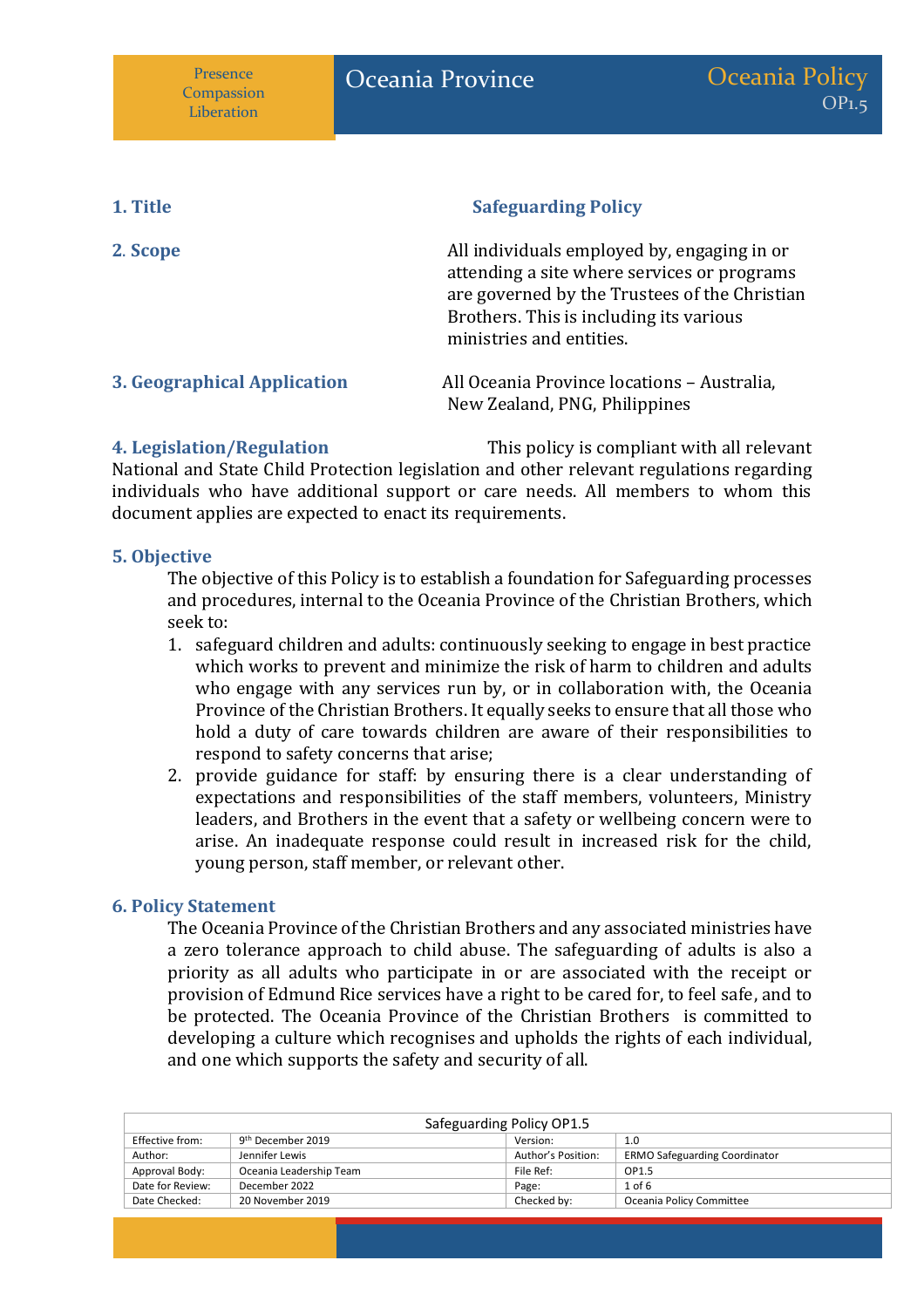| 1. Title                    | <b>Safeguarding Policy</b>                                                                                                                                                                                         |
|-----------------------------|--------------------------------------------------------------------------------------------------------------------------------------------------------------------------------------------------------------------|
| 2. Scope                    | All individuals employed by, engaging in or<br>attending a site where services or programs<br>are governed by the Trustees of the Christian<br>Brothers. This is including its various<br>ministries and entities. |
| 3. Geographical Application | All Oceania Province locations - Australia,<br>New Zealand, PNG, Philippines                                                                                                                                       |

**4. Legislation/Regulation** This policy is compliant with all relevant National and State Child Protection legislation and other relevant regulations regarding individuals who have additional support or care needs. All members to whom this document applies are expected to enact its requirements.

#### **5. Objective**

The objective of this Policy is to establish a foundation for Safeguarding processes and procedures, internal to the Oceania Province of the Christian Brothers, which seek to:

- 1. safeguard children and adults: continuously seeking to engage in best practice which works to prevent and minimize the risk of harm to children and adults who engage with any services run by, or in collaboration with, the Oceania Province of the Christian Brothers. It equally seeks to ensure that all those who hold a duty of care towards children are aware of their responsibilities to respond to safety concerns that arise;
- 2. provide guidance for staff: by ensuring there is a clear understanding of expectations and responsibilities of the staff members, volunteers, Ministry leaders, and Brothers in the event that a safety or wellbeing concern were to arise. An inadequate response could result in increased risk for the child, young person, staff member, or relevant other.

#### **6. Policy Statement**

The Oceania Province of the Christian Brothers and any associated ministries have a zero tolerance approach to child abuse. The safeguarding of adults is also a priority as all adults who participate in or are associated with the receipt or provision of Edmund Rice services have a right to be cared for, to feel safe, and to be protected. The Oceania Province of the Christian Brothers is committed to developing a culture which recognises and upholds the rights of each individual, and one which supports the safety and security of all.

| Safeguarding Policy OP1.5     |                    |                                      |  |
|-------------------------------|--------------------|--------------------------------------|--|
| 9 <sup>th</sup> December 2019 | Version:           | 1.0                                  |  |
| Jennifer Lewis                | Author's Position: | <b>ERMO Safeguarding Coordinator</b> |  |
| Oceania Leadership Team       | File Ref:          | OP1.5                                |  |
| December 2022                 | Page:              | $1$ of 6                             |  |
| 20 November 2019              | Checked by:        | Oceania Policy Committee             |  |
|                               |                    |                                      |  |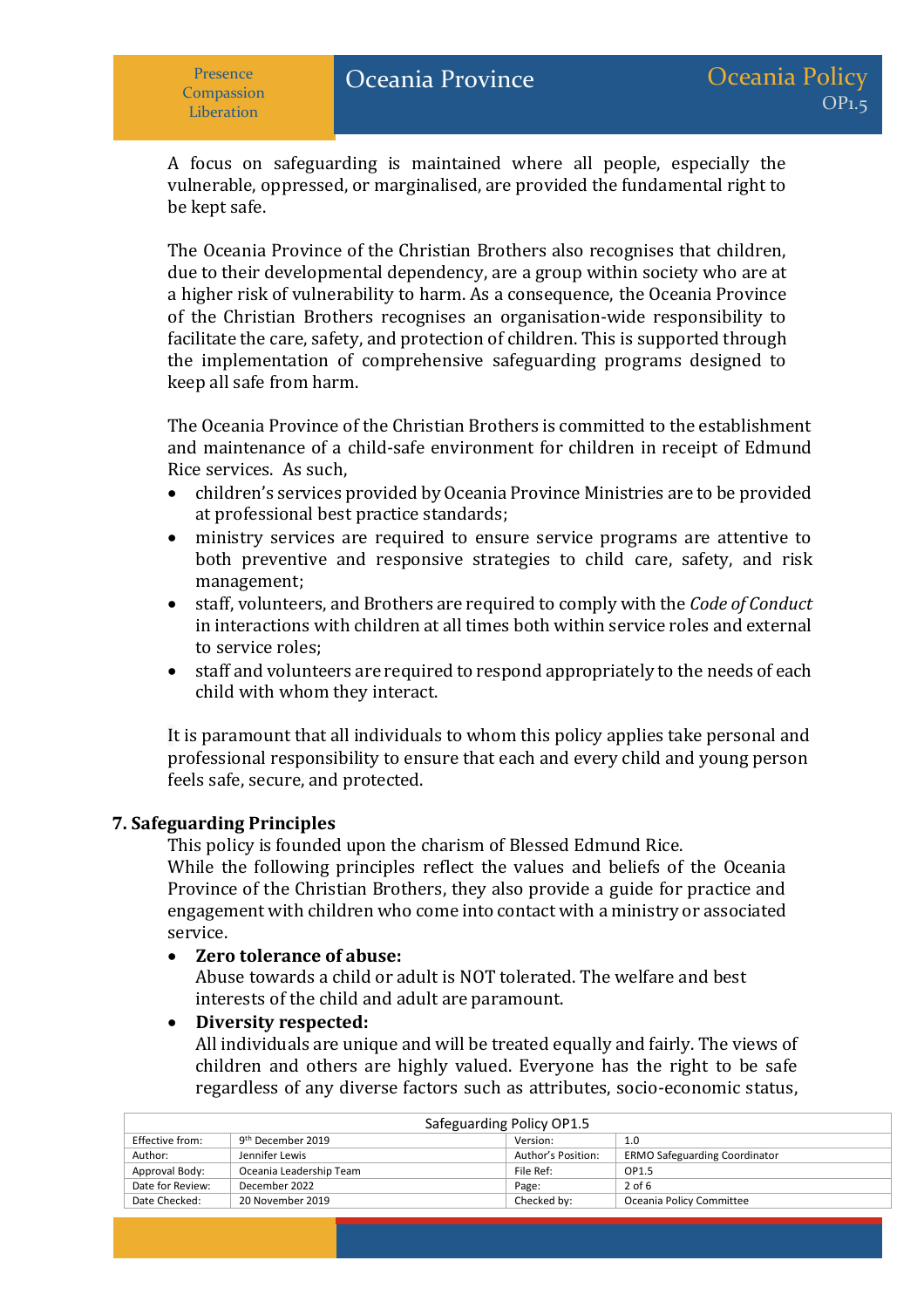A focus on safeguarding is maintained where all people, especially the vulnerable, oppressed, or marginalised, are provided the fundamental right to be kept safe.

The Oceania Province of the Christian Brothers also recognises that children, due to their developmental dependency, are a group within society who are at a higher risk of vulnerability to harm. As a consequence, the Oceania Province of the Christian Brothers recognises an organisation-wide responsibility to facilitate the care, safety, and protection of children. This is supported through the implementation of comprehensive safeguarding programs designed to keep all safe from harm.

The Oceania Province of the Christian Brothers is committed to the establishment and maintenance of a child-safe environment for children in receipt of Edmund Rice services. As such,

- children's services provided by Oceania Province Ministries are to be provided at professional best practice standards;
- ministry services are required to ensure service programs are attentive to both preventive and responsive strategies to child care, safety, and risk management;
- staff, volunteers, and Brothers are required to comply with the *Code of Conduct* in interactions with children at all times both within service roles and external to service roles;
- staff and volunteers are required to respond appropriately to the needs of each child with whom they interact.

It is paramount that all individuals to whom this policy applies take personal and professional responsibility to ensure that each and every child and young person feels safe, secure, and protected.

### **7. Safeguarding Principles**

This policy is founded upon the charism of Blessed Edmund Rice.

While the following principles reflect the values and beliefs of the Oceania Province of the Christian Brothers, they also provide a guide for practice and engagement with children who come into contact with a ministry or associated service.

#### • **Zero tolerance of abuse:**

Abuse towards a child or adult is NOT tolerated. The welfare and best interests of the child and adult are paramount.

#### • **Diversity respected:**

All individuals are unique and will be treated equally and fairly. The views of children and others are highly valued. Everyone has the right to be safe regardless of any diverse factors such as attributes, socio-economic status,

| Safeguarding Policy OP1.5 |                               |                    |                                      |
|---------------------------|-------------------------------|--------------------|--------------------------------------|
| Effective from:           | 9 <sup>th</sup> December 2019 | Version:           | 1.0                                  |
| Author:                   | Jennifer Lewis                | Author's Position: | <b>ERMO Safeguarding Coordinator</b> |
| Approval Body:            | Oceania Leadership Team       | File Ref:          | OP1.5                                |
| Date for Review:          | December 2022                 | Page:              | $2$ of 6                             |
| Date Checked:             | 20 November 2019              | Checked by:        | Oceania Policy Committee             |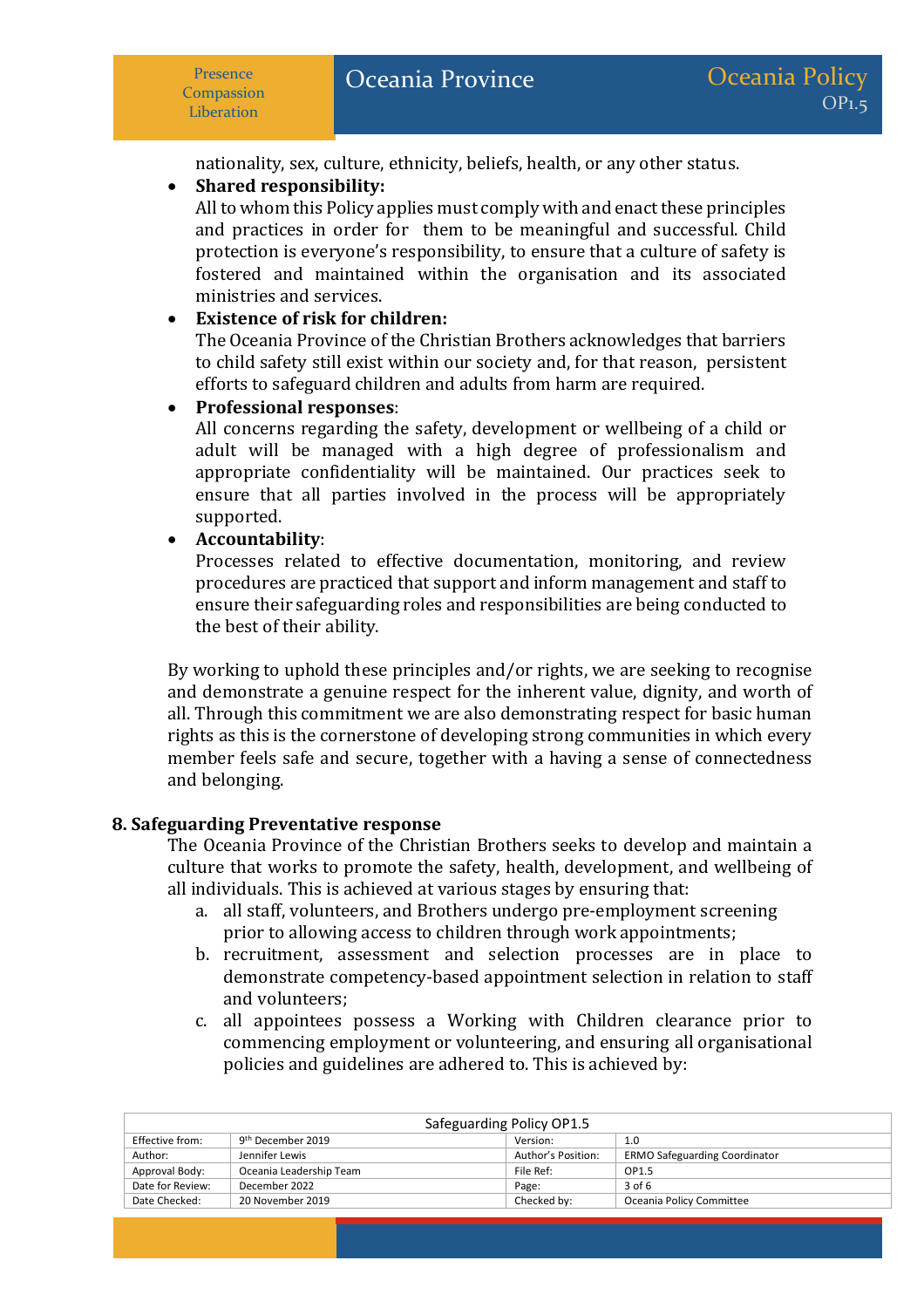nationality, sex, culture, ethnicity, beliefs, health, or any other status.

## • **Shared responsibility:**

All to whom this Policy applies must comply with and enact these principles and practices in order for them to be meaningful and successful. Child protection is everyone's responsibility, to ensure that a culture of safety is fostered and maintained within the organisation and its associated ministries and services.

## • **Existence of risk for children:**

The Oceania Province of the Christian Brothers acknowledges that barriers to child safety still exist within our society and, for that reason, persistent efforts to safeguard children and adults from harm are required.

## • **Professional responses**:

All concerns regarding the safety, development or wellbeing of a child or adult will be managed with a high degree of professionalism and appropriate confidentiality will be maintained. Our practices seek to ensure that all parties involved in the process will be appropriately supported.

## • **Accountability**:

Processes related to effective documentation, monitoring, and review procedures are practiced that support and inform management and staff to ensure their safeguarding roles and responsibilities are being conducted to the best of their ability.

By working to uphold these principles and/or rights, we are seeking to recognise and demonstrate a genuine respect for the inherent value, dignity, and worth of all. Through this commitment we are also demonstrating respect for basic human rights as this is the cornerstone of developing strong communities in which every member feels safe and secure, together with a having a sense of connectedness and belonging.

### **8. Safeguarding Preventative response**

The Oceania Province of the Christian Brothers seeks to develop and maintain a culture that works to promote the safety, health, development, and wellbeing of all individuals. This is achieved at various stages by ensuring that:

- a. all staff, volunteers, and Brothers undergo pre-employment screening prior to allowing access to children through work appointments;
- b. recruitment, assessment and selection processes are in place to demonstrate competency-based appointment selection in relation to staff and volunteers;
- c. all appointees possess a Working with Children clearance prior to commencing employment or volunteering, and ensuring all organisational policies and guidelines are adhered to. This is achieved by:

| Safeguarding Policy OP1.5 |                               |                    |                                      |
|---------------------------|-------------------------------|--------------------|--------------------------------------|
| Effective from:           | 9 <sup>th</sup> December 2019 | Version:           | 1.0                                  |
| Author:                   | Jennifer Lewis                | Author's Position: | <b>ERMO Safeguarding Coordinator</b> |
| Approval Body:            | Oceania Leadership Team       | File Ref:          | OP1.5                                |
| Date for Review:          | December 2022                 | Page:              | $3$ of 6                             |
| Date Checked:             | 20 November 2019              | Checked by:        | Oceania Policy Committee             |
|                           |                               |                    |                                      |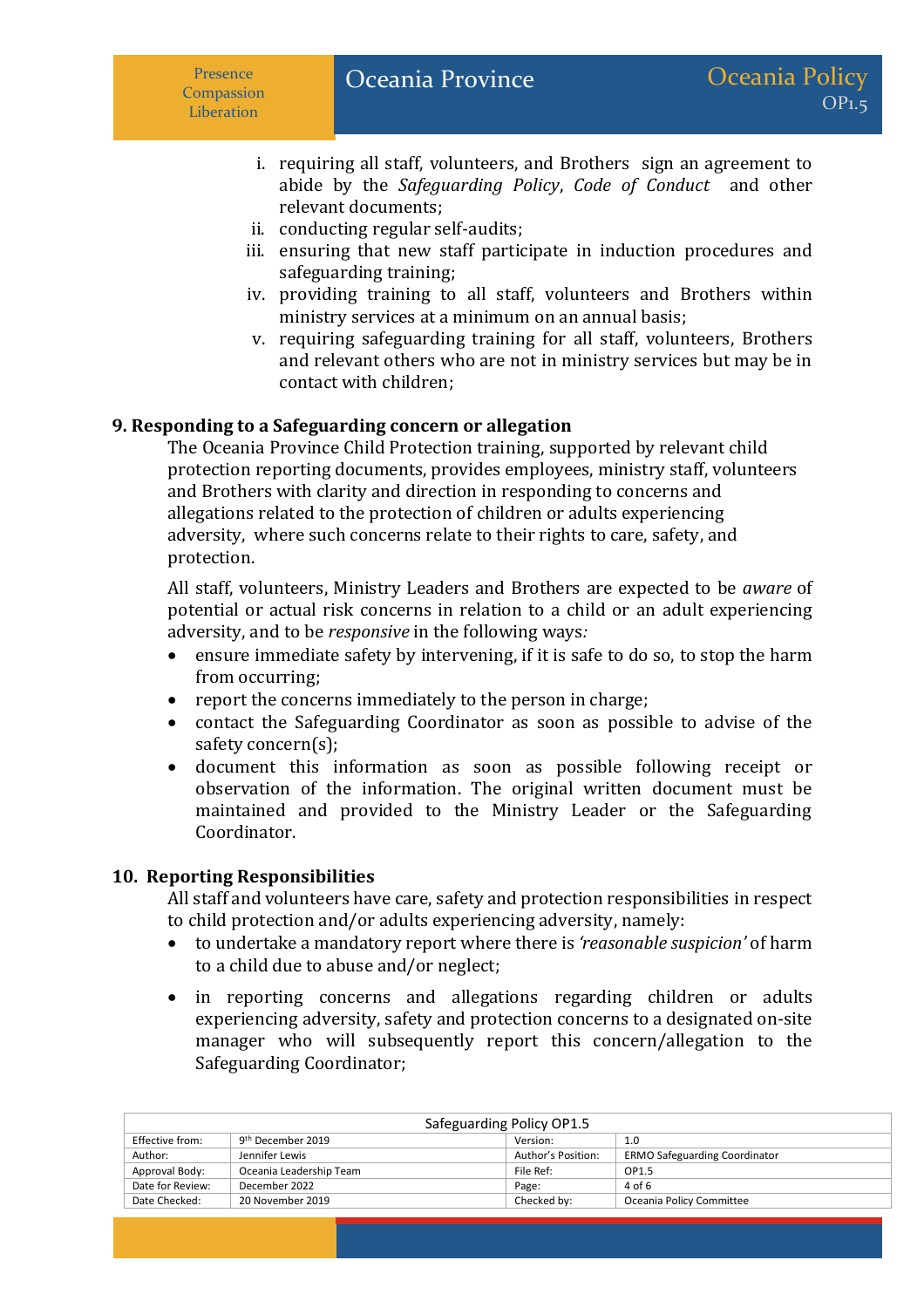- i. requiring all staff, volunteers, and Brothers sign an agreement to abide by the *Safeguarding Policy*, *Code of Conduct* and other relevant documents;
- ii. conducting regular self-audits;
- iii. ensuring that new staff participate in induction procedures and safeguarding training;
- iv. providing training to all staff, volunteers and Brothers within ministry services at a minimum on an annual basis;
- v. requiring safeguarding training for all staff, volunteers, Brothers and relevant others who are not in ministry services but may be in contact with children;

## **9. Responding to a Safeguarding concern or allegation**

The Oceania Province Child Protection training, supported by relevant child protection reporting documents, provides employees, ministry staff, volunteers and Brothers with clarity and direction in responding to concerns and allegations related to the protection of children or adults experiencing adversity, where such concerns relate to their rights to care, safety, and protection.

All staff, volunteers, Ministry Leaders and Brothers are expected to be *aware* of potential or actual risk concerns in relation to a child or an adult experiencing adversity, and to be *responsive* in the following ways*:*

- ensure immediate safety by intervening, if it is safe to do so, to stop the harm from occurring;
- report the concerns immediately to the person in charge;
- contact the Safeguarding Coordinator as soon as possible to advise of the safety concern(s);
- document this information as soon as possible following receipt or observation of the information. The original written document must be maintained and provided to the Ministry Leader or the Safeguarding Coordinator.

### **10. Reporting Responsibilities**

All staff and volunteers have care, safety and protection responsibilities in respect to child protection and/or adults experiencing adversity, namely:

- to undertake a mandatory report where there is *'reasonable suspicion'* of harm to a child due to abuse and/or neglect;
- in reporting concerns and allegations regarding children or adults experiencing adversity, safety and protection concerns to a designated on-site manager who will subsequently report this concern/allegation to the Safeguarding Coordinator;

| Safeguarding Policy OP1.5 |                               |                    |                                      |
|---------------------------|-------------------------------|--------------------|--------------------------------------|
| Effective from:           | 9 <sup>th</sup> December 2019 | Version:           | 1.0                                  |
| Author:                   | Jennifer Lewis                | Author's Position: | <b>ERMO Safeguarding Coordinator</b> |
| Approval Body:            | Oceania Leadership Team       | File Ref:          | OP1.5                                |
| Date for Review:          | December 2022                 | Page:              | 4 of 6                               |
| Date Checked:             | 20 November 2019              | Checked by:        | Oceania Policy Committee             |
|                           |                               |                    |                                      |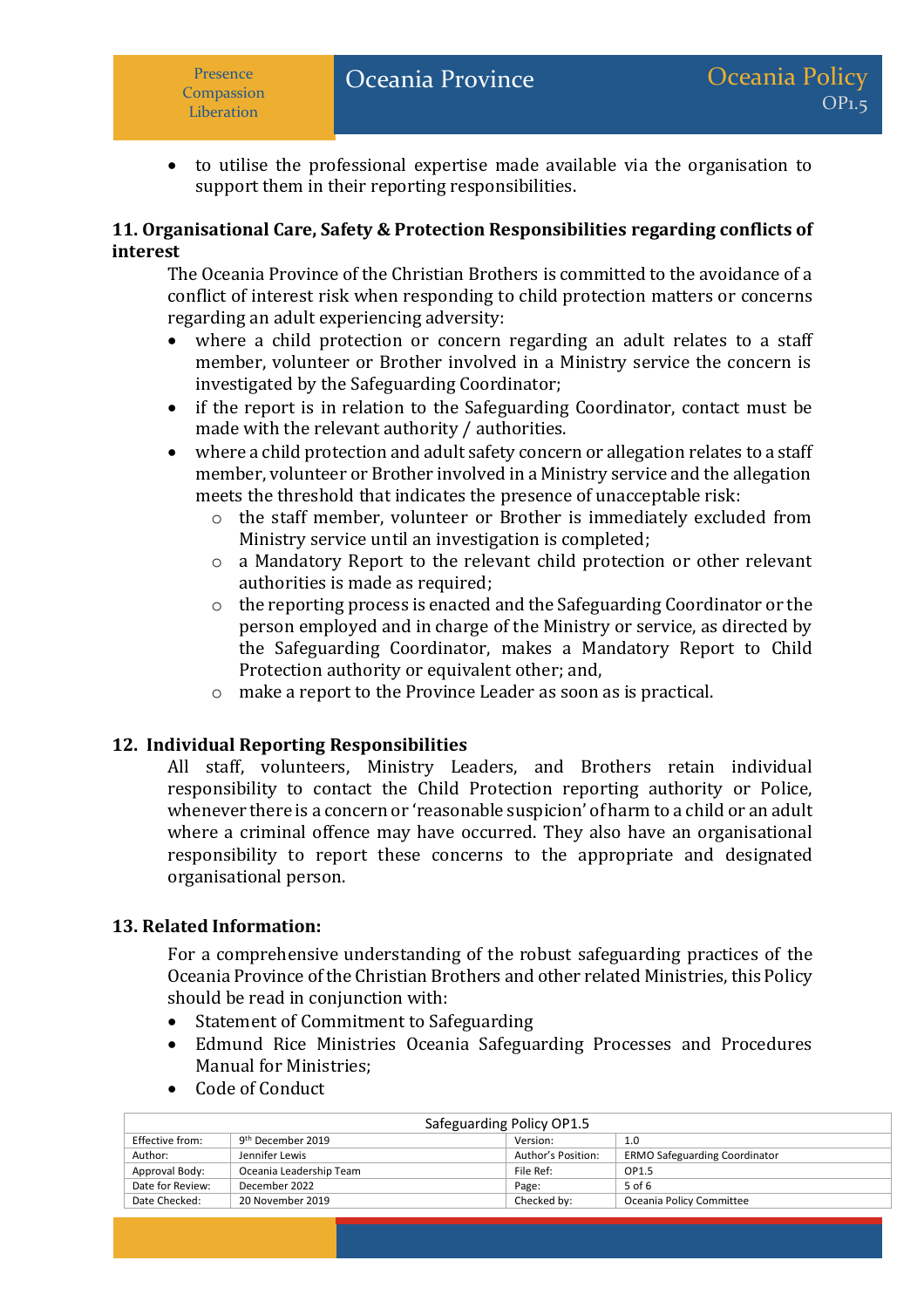• to utilise the professional expertise made available via the organisation to support them in their reporting responsibilities.

### **11. Organisational Care, Safety & Protection Responsibilities regarding conflicts of interest**

The Oceania Province of the Christian Brothers is committed to the avoidance of a conflict of interest risk when responding to child protection matters or concerns regarding an adult experiencing adversity:

- where a child protection or concern regarding an adult relates to a staff member, volunteer or Brother involved in a Ministry service the concern is investigated by the Safeguarding Coordinator;
- if the report is in relation to the Safeguarding Coordinator, contact must be made with the relevant authority / authorities.
- where a child protection and adult safety concern or allegation relates to a staff member, volunteer or Brother involved in a Ministry service and the allegation meets the threshold that indicates the presence of unacceptable risk:
	- o the staff member, volunteer or Brother is immediately excluded from Ministry service until an investigation is completed;
	- o a Mandatory Report to the relevant child protection or other relevant authorities is made as required;
	- o the reporting process is enacted and the Safeguarding Coordinator or the person employed and in charge of the Ministry or service, as directed by the Safeguarding Coordinator, makes a Mandatory Report to Child Protection authority or equivalent other; and,
	- o make a report to the Province Leader as soon as is practical.

# **12. Individual Reporting Responsibilities**

All staff, volunteers, Ministry Leaders, and Brothers retain individual responsibility to contact the Child Protection reporting authority or Police, whenever there is a concern or 'reasonable suspicion' of harm to a child or an adult where a criminal offence may have occurred. They also have an organisational responsibility to report these concerns to the appropriate and designated organisational person.

### **13. Related Information:**

For a comprehensive understanding of the robust safeguarding practices of the Oceania Province of the Christian Brothers and other related Ministries, this Policy should be read in conjunction with:

- Statement of Commitment to Safeguarding
- Edmund Rice Ministries Oceania Safeguarding Processes and Procedures Manual for Ministries;
- Safeguarding Policy OP1.5 Effective from: g<sup>th</sup> December 2019 Version: 1.0 Author: Jennifer Lewis Jennifer Lewis Author's Position: ERMO Safeguarding Coordinator Approval Body: Coreania Leadership Team File Ref: 091.5 Date for Review: December 2022 Page: 5 of 6 Date Checked: 20 November 2019 Checked by: Oceania Policy Committee
- Code of Conduct